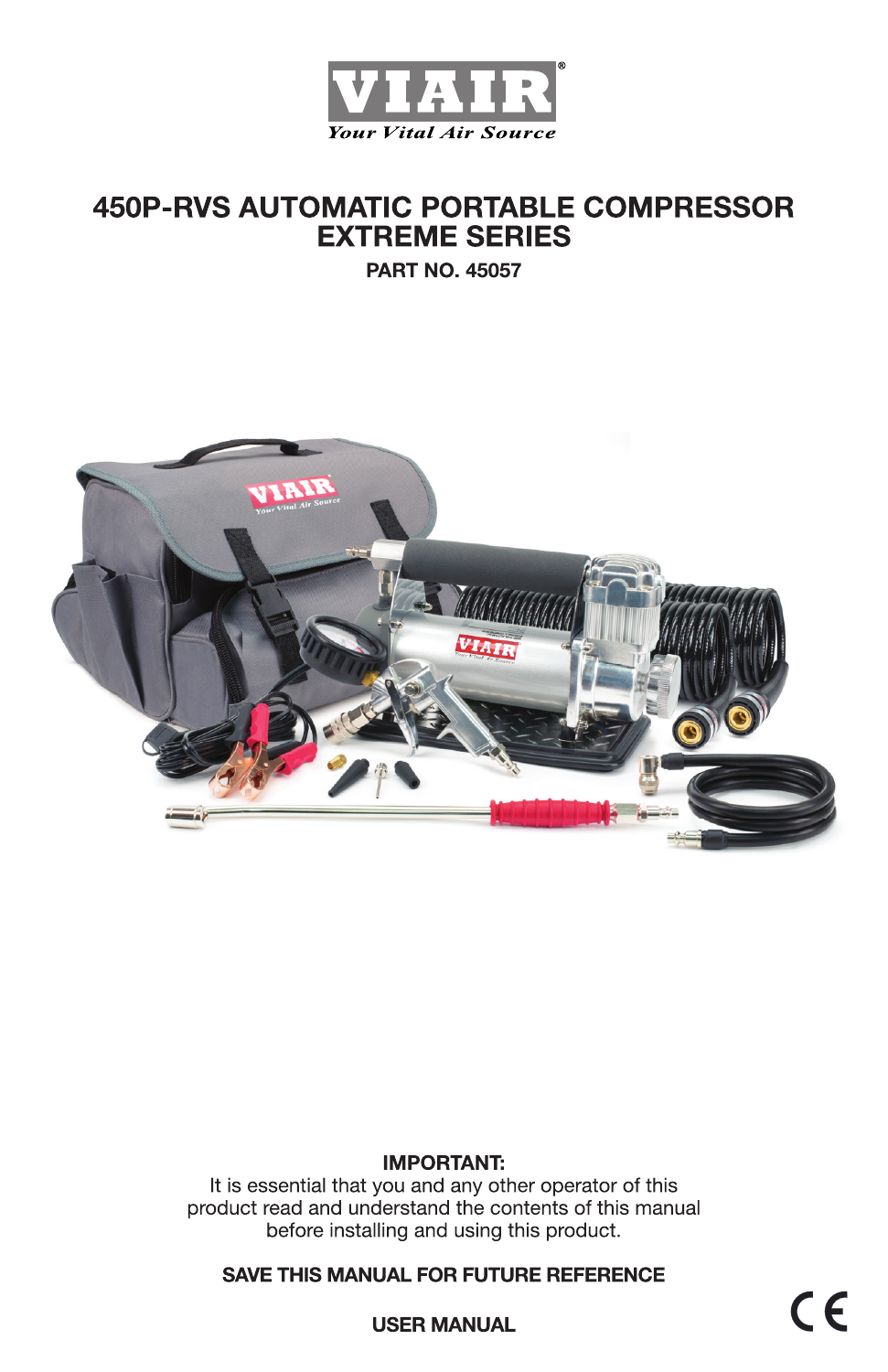

# **450P-RVS AUTOMATIC PORTABLE COMPRESSOR EXTREME SERIES**

**PART NO. 45057** 



### **IMPORTANT:**

It is essential that you and any other operator of this product read and understand the contents of this manual before installing and using this product.

**SAVE THIS MANUAL FOR FUTURE REFERENCE** 

 $C \in$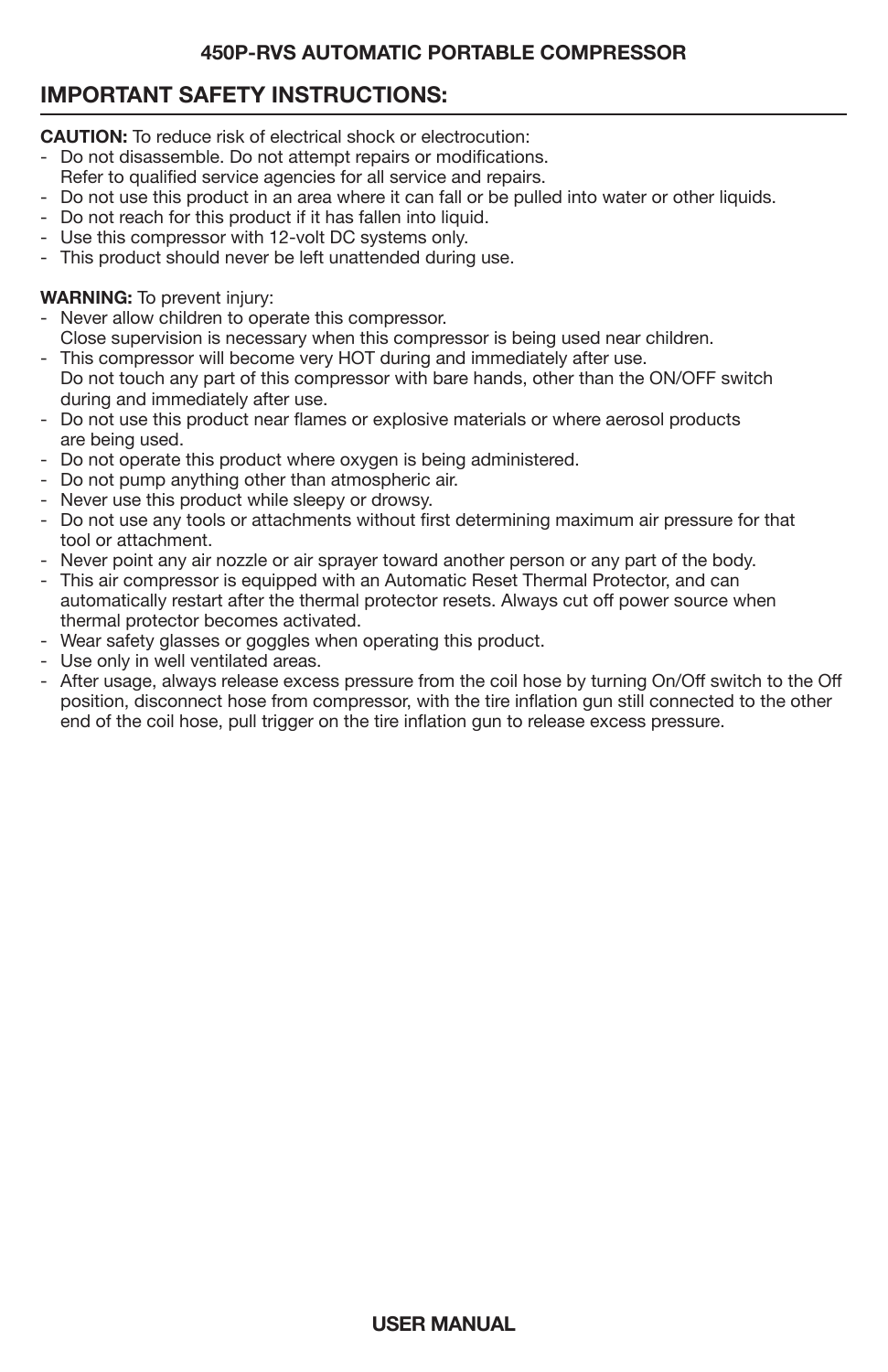# **IMPORTANT SAFETY INSTRUCTIONS:**

**CAUTION:** To reduce risk of electrical shock or electrocution:

- Do not disassemble. Do not attempt repairs or modifications.
- Refer to qualified service agencies for all service and repairs.
- Do not use this product in an area where it can fall or be pulled into water or other liquids.
- Do not reach for this product if it has fallen into liquid.
- Use this compressor with 12-volt DC systems only.
- This product should never be left unattended during use.

### **WARNING:** To prevent injury:

- Never allow children to operate this compressor.
- Close supervision is necessary when this compressor is being used near children.
- This compressor will become very HOT during and immediately after use. Do not touch any part of this compressor with bare hands, other than the ON/OFF switch during and immediately after use.
- Do not use this product near flames or explosive materials or where aerosol products are being used.
- Do not operate this product where oxygen is being administered.
- Do not pump anything other than atmospheric air.
- Never use this product while sleepy or drowsy.
- Do not use any tools or attachments without first determining maximum air pressure for that tool or attachment.
- Never point any air nozzle or air sprayer toward another person or any part of the body.
- This air compressor is equipped with an Automatic Reset Thermal Protector, and can automatically restart after the thermal protector resets. Always cut off power source when thermal protector becomes activated.
- Wear safety glasses or goggles when operating this product.
- Use only in well ventilated areas.
- After usage, always release excess pressure from the coil hose by turning On/Off switch to the Off position, disconnect hose from compressor, with the tire inflation gun still connected to the other end of the coil hose, pull trigger on the tire inflation gun to release excess pressure.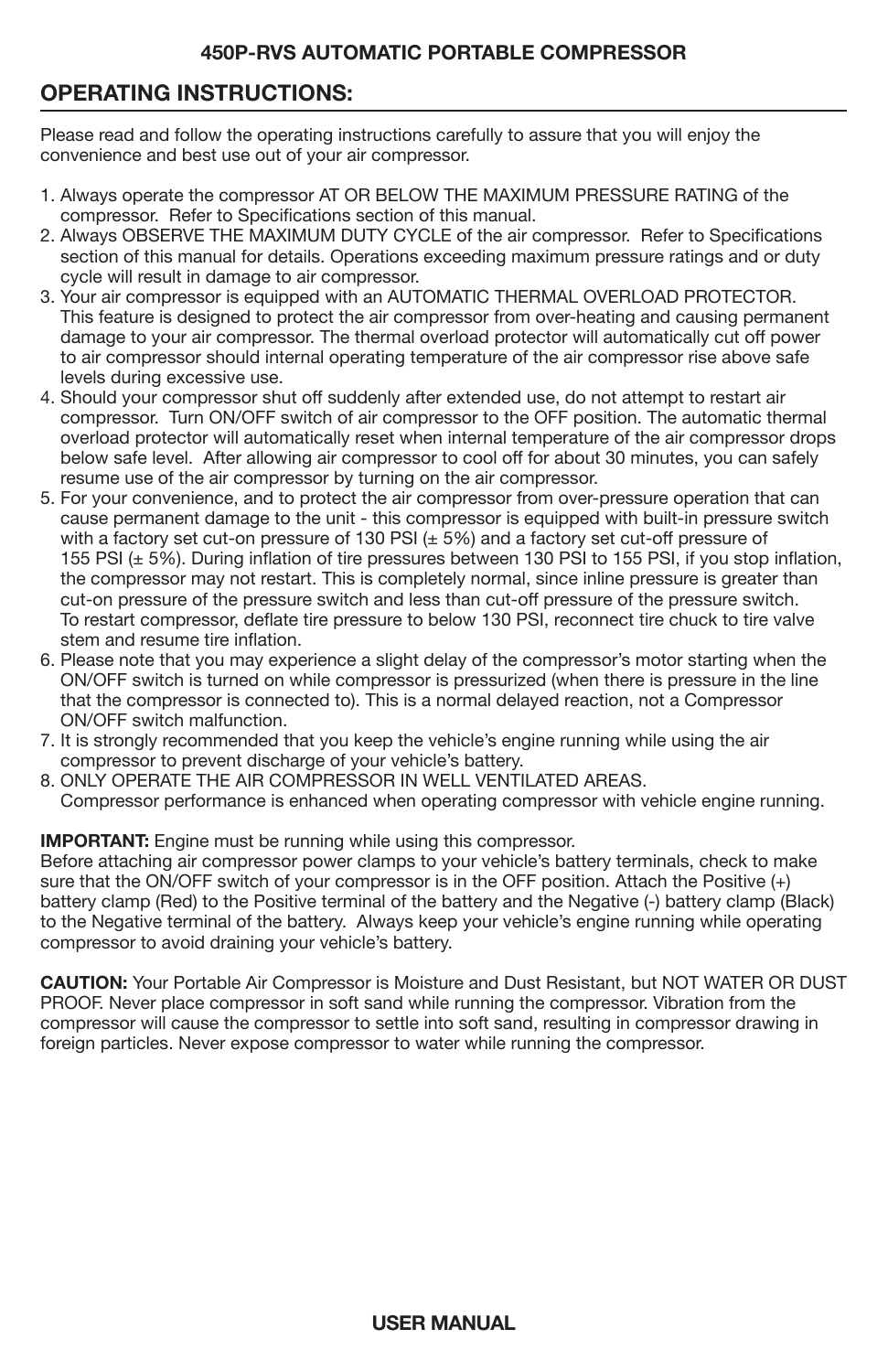# **OPERATING INSTRUCTIONS:**

Please read and follow the operating instructions carefully to assure that you will enjoy the convenience and best use out of your air compressor.

- 1. Always operate the compressor AT OR BELOW THE MAXIMUM PRESSURE RATING of the compressor. Refer to Specifications section of this manual.
- 2. Always OBSERVE THE MAXIMUM DUTY CYCLE of the air compressor. Refer to Specifications section of this manual for details. Operations exceeding maximum pressure ratings and or duty cycle will result in damage to air compressor.
- 3. Your air compressor is equipped with an AUTOMATIC THERMAL OVERLOAD PROTECTOR. This feature is designed to protect the air compressor from over-heating and causing permanent damage to your air compressor. The thermal overload protector will automatically cut off power to air compressor should internal operating temperature of the air compressor rise above safe levels during excessive use.
- 4. Should your compressor shut off suddenly after extended use, do not attempt to restart air compressor. Turn ON/OFF switch of air compressor to the OFF position. The automatic thermal overload protector will automatically reset when internal temperature of the air compressor drops below safe level. After allowing air compressor to cool off for about 30 minutes, you can safely resume use of the air compressor by turning on the air compressor.
- 5. For your convenience, and to protect the air compressor from over-pressure operation that can cause permanent damage to the unit - this compressor is equipped with built-in pressure switch with a factory set cut-on pressure of 130 PSI  $(\pm 5%)$  and a factory set cut-off pressure of 155 PSI (± 5%). During inflation of tire pressures between 130 PSI to 155 PSI, if you stop inflation, the compressor may not restart. This is completely normal, since inline pressure is greater than cut-on pressure of the pressure switch and less than cut-off pressure of the pressure switch. To restart compressor, deflate tire pressure to below 130 PSI, reconnect tire chuck to tire valve stem and resume tire inflation.
- 6. Please note that you may experience a slight delay of the compressor's motor starting when the ON/OFF switch is turned on while compressor is pressurized (when there is pressure in the line that the compressor is connected to). This is a normal delayed reaction, not a Compressor ON/OFF switch malfunction.
- 7. It is strongly recommended that you keep the vehicle's engine running while using the air compressor to prevent discharge of your vehicle's battery.
- 8. ONLY OPERATE THE AIR COMPRESSOR IN WELL VENTILATED AREAS. Compressor performance is enhanced when operating compressor with vehicle engine running.

#### **IMPORTANT:** Engine must be running while using this compressor.

Before attaching air compressor power clamps to your vehicle's battery terminals, check to make sure that the ON/OFF switch of your compressor is in the OFF position. Attach the Positive (+) battery clamp (Red) to the Positive terminal of the battery and the Negative (-) battery clamp (Black) to the Negative terminal of the battery. Always keep your vehicle's engine running while operating compressor to avoid draining your vehicle's battery.

**CAUTION:** Your Portable Air Compressor is Moisture and Dust Resistant, but NOT WATER OR DUST PROOF. Never place compressor in soft sand while running the compressor. Vibration from the compressor will cause the compressor to settle into soft sand, resulting in compressor drawing in foreign particles. Never expose compressor to water while running the compressor.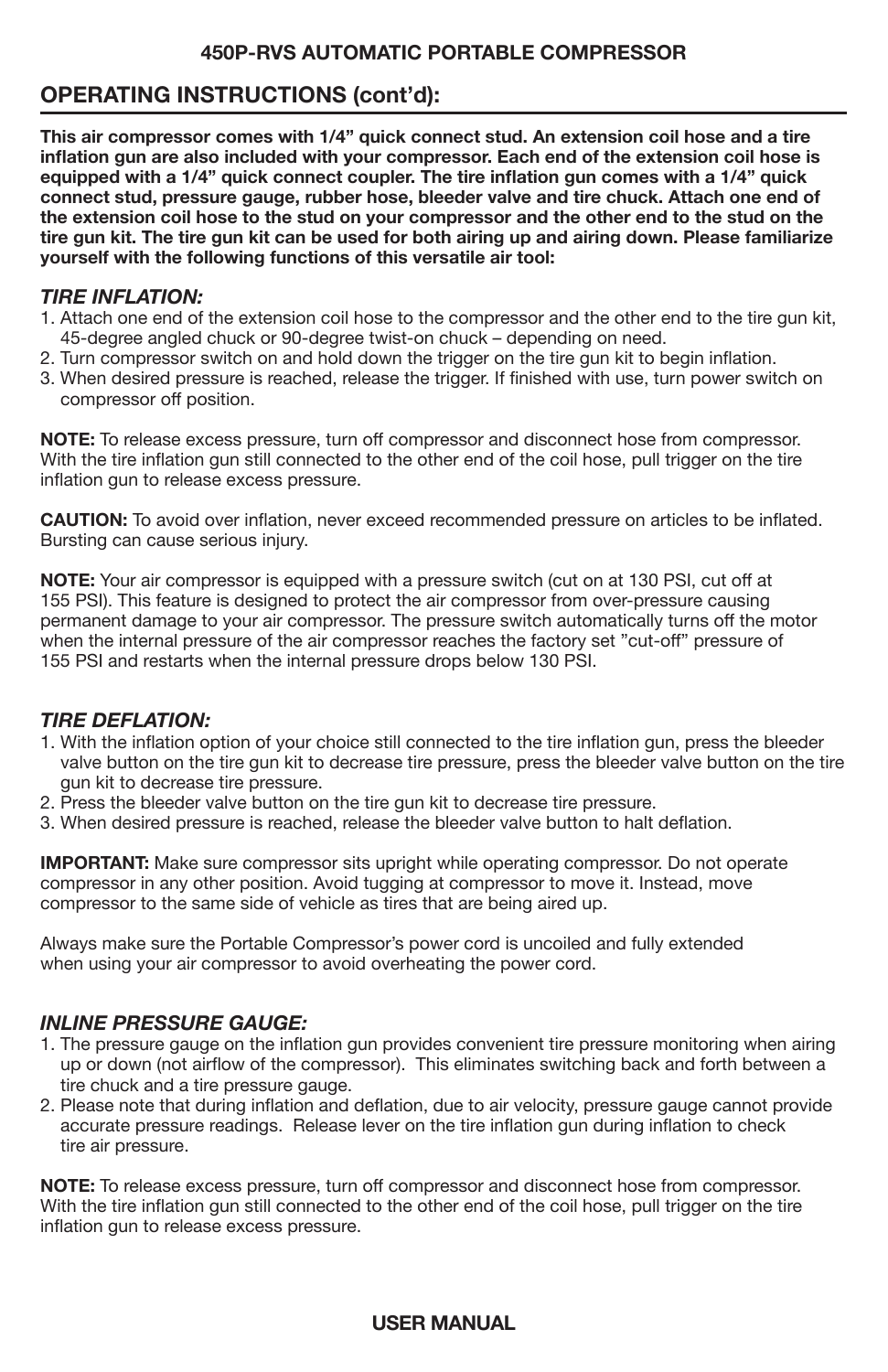# **OPERATING INSTRUCTIONS (cont'd):**

**This air compressor comes with 1/4" quick connect stud. An extension coil hose and a tire inflation gun are also included with your compressor. Each end of the extension coil hose is equipped with a 1/4" quick connect coupler. The tire inflation gun comes with a 1/4" quick connect stud, pressure gauge, rubber hose, bleeder valve and tire chuck. Attach one end of the extension coil hose to the stud on your compressor and the other end to the stud on the tire gun kit. The tire gun kit can be used for both airing up and airing down. Please familiarize yourself with the following functions of this versatile air tool:**

### *TIRE INFLATION:*

- 1. Attach one end of the extension coil hose to the compressor and the other end to the tire gun kit, 45-degree angled chuck or 90-degree twist-on chuck – depending on need.
- 2. Turn compressor switch on and hold down the trigger on the tire gun kit to begin inflation.
- 3. When desired pressure is reached, release the trigger. If finished with use, turn power switch on compressor off position.

**NOTE:** To release excess pressure, turn off compressor and disconnect hose from compressor. With the tire inflation gun still connected to the other end of the coil hose, pull trigger on the tire inflation gun to release excess pressure.

**CAUTION:** To avoid over inflation, never exceed recommended pressure on articles to be inflated. Bursting can cause serious injury.

**NOTE:** Your air compressor is equipped with a pressure switch (cut on at 130 PSI, cut off at 155 PSI). This feature is designed to protect the air compressor from over-pressure causing permanent damage to your air compressor. The pressure switch automatically turns off the motor when the internal pressure of the air compressor reaches the factory set "cut-off" pressure of 155 PSI and restarts when the internal pressure drops below 130 PSI.

### *TIRE DEFLATION:*

- 1. With the inflation option of your choice still connected to the tire inflation gun, press the bleeder valve button on the tire gun kit to decrease tire pressure, press the bleeder valve button on the tire gun kit to decrease tire pressure.
- 2. Press the bleeder valve button on the tire gun kit to decrease tire pressure.
- 3. When desired pressure is reached, release the bleeder valve button to halt deflation.

**IMPORTANT:** Make sure compressor sits upright while operating compressor. Do not operate compressor in any other position. Avoid tugging at compressor to move it. Instead, move compressor to the same side of vehicle as tires that are being aired up.

Always make sure the Portable Compressor's power cord is uncoiled and fully extended when using your air compressor to avoid overheating the power cord.

### *INLINE PRESSURE GAUGE:*

- 1. The pressure gauge on the inflation gun provides convenient tire pressure monitoring when airing up or down (not airflow of the compressor). This eliminates switching back and forth between a tire chuck and a tire pressure gauge.
- 2. Please note that during inflation and deflation, due to air velocity, pressure gauge cannot provide accurate pressure readings. Release lever on the tire inflation gun during inflation to check tire air pressure.

**NOTE:** To release excess pressure, turn off compressor and disconnect hose from compressor. With the tire inflation gun still connected to the other end of the coil hose, pull trigger on the tire inflation gun to release excess pressure.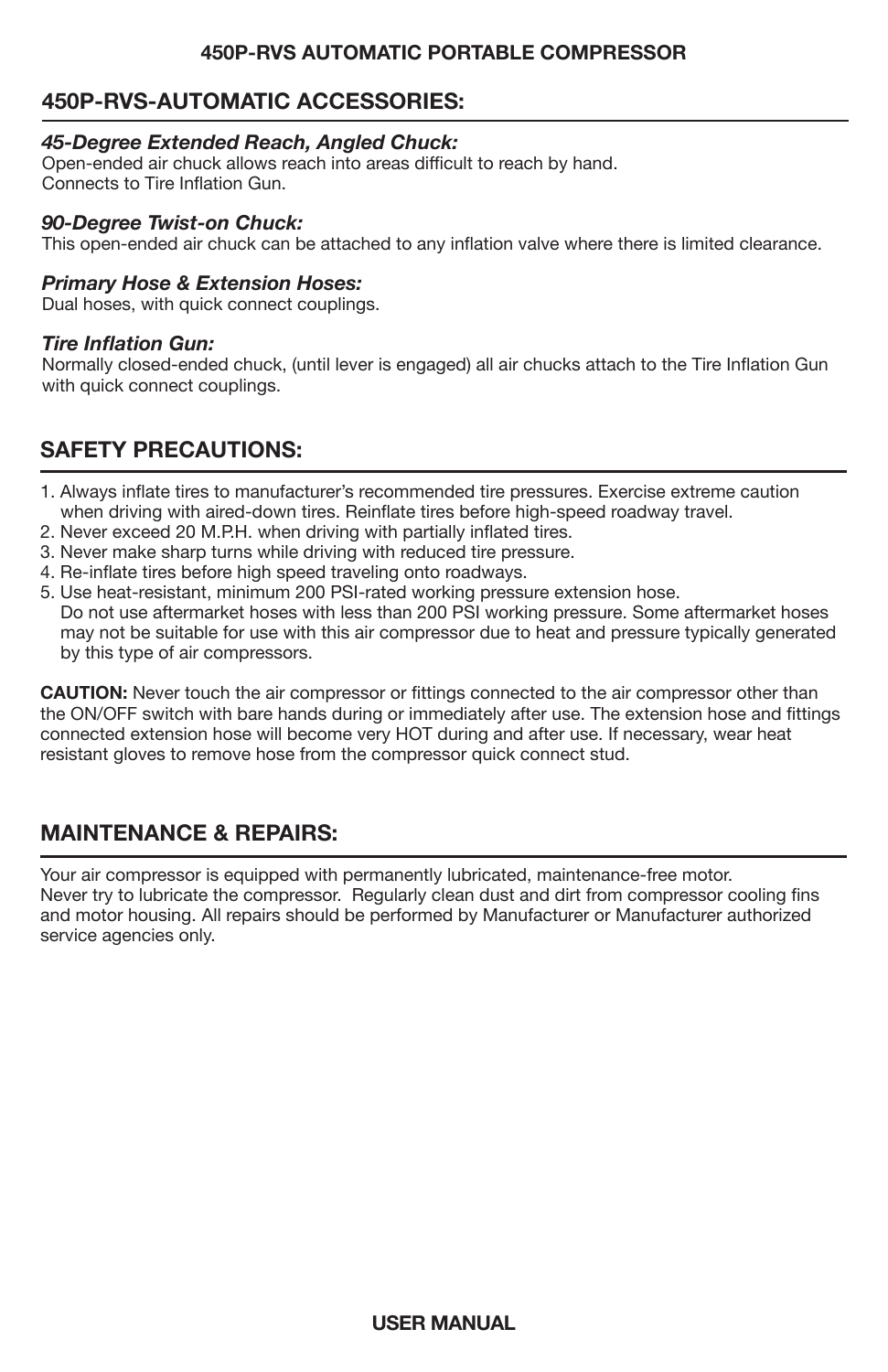# **450P-RVS-AUTOMATIC ACCESSORIES:**

#### *45-Degree Extended Reach, Angled Chuck:*

Open-ended air chuck allows reach into areas difficult to reach by hand. Connects to Tire Inflation Gun.

#### *90-Degree Twist-on Chuck:*

This open-ended air chuck can be attached to any inflation valve where there is limited clearance.

#### *Primary Hose & Extension Hoses:*

Dual hoses, with quick connect couplings.

#### *Tire Inflation Gun:*

Normally closed-ended chuck, (until lever is engaged) all air chucks attach to the Tire Inflation Gun with quick connect couplings.

# **SAFETY PRECAUTIONS:**

- 1. Always inflate tires to manufacturer's recommended tire pressures. Exercise extreme caution when driving with aired-down tires. Reinflate tires before high-speed roadway travel.
- 2. Never exceed 20 M.P.H. when driving with partially inflated tires.
- 3. Never make sharp turns while driving with reduced tire pressure.
- 4. Re-inflate tires before high speed traveling onto roadways.
- 5. Use heat-resistant, minimum 200 PSI-rated working pressure extension hose. Do not use aftermarket hoses with less than 200 PSI working pressure. Some aftermarket hoses may not be suitable for use with this air compressor due to heat and pressure typically generated by this type of air compressors.

**CAUTION:** Never touch the air compressor or fittings connected to the air compressor other than the ON/OFF switch with bare hands during or immediately after use. The extension hose and fittings connected extension hose will become very HOT during and after use. If necessary, wear heat resistant gloves to remove hose from the compressor quick connect stud.

# **MAINTENANCE & REPAIRS:**

Your air compressor is equipped with permanently lubricated, maintenance-free motor. Never try to lubricate the compressor. Regularly clean dust and dirt from compressor cooling fins and motor housing. All repairs should be performed by Manufacturer or Manufacturer authorized service agencies only.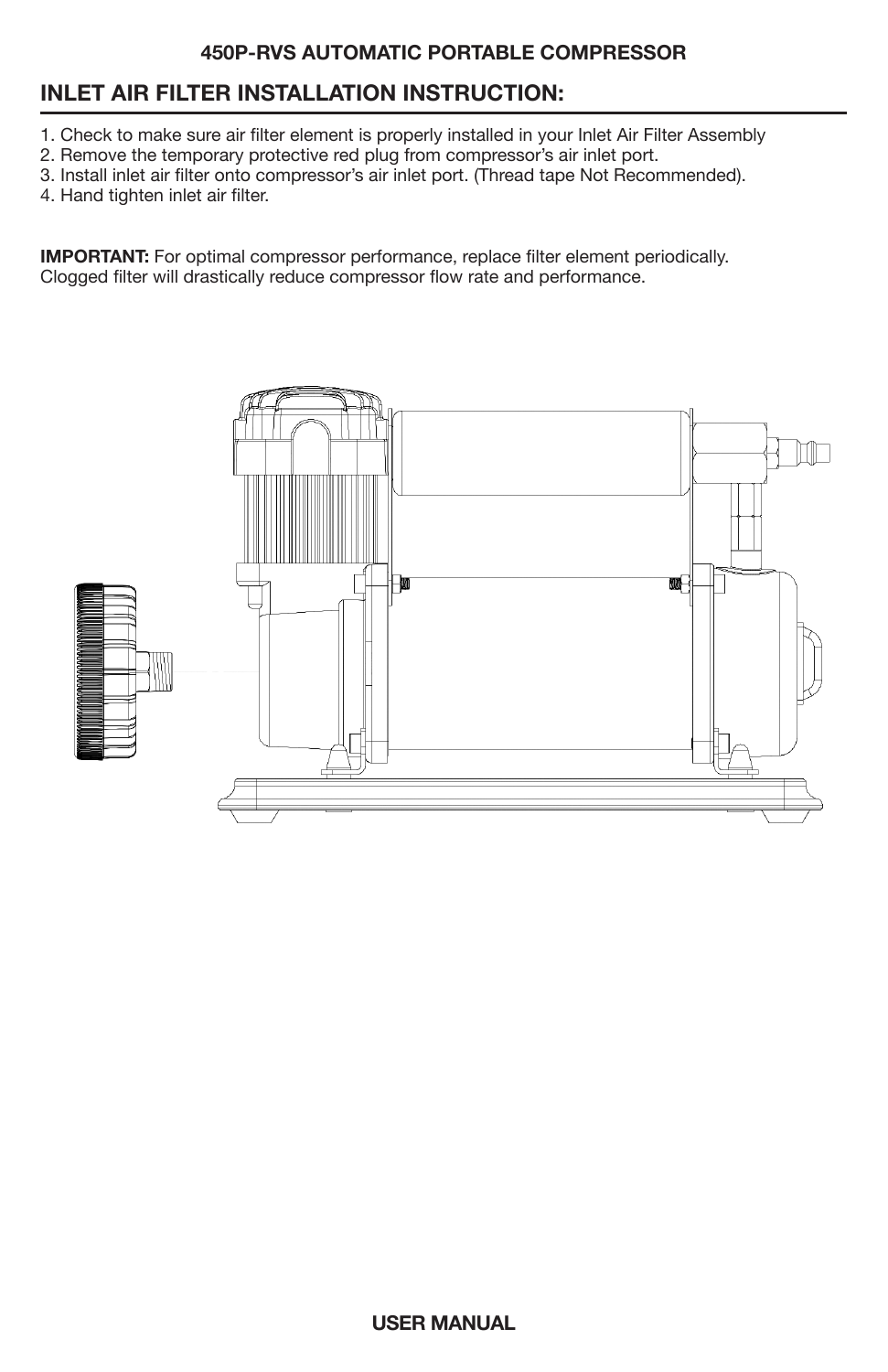# **INLET AIR FILTER INSTALLATION INSTRUCTION:**

- 1. Check to make sure air filter element is properly installed in your Inlet Air Filter Assembly
- 2. Remove the temporary protective red plug from compressor's air inlet port.
- 3. Install inlet air filter onto compressor's air inlet port. (Thread tape Not Recommended).
- 4. Hand tighten inlet air filter.

**IMPORTANT:** For optimal compressor performance, replace filter element periodically. Clogged filter will drastically reduce compressor flow rate and performance.

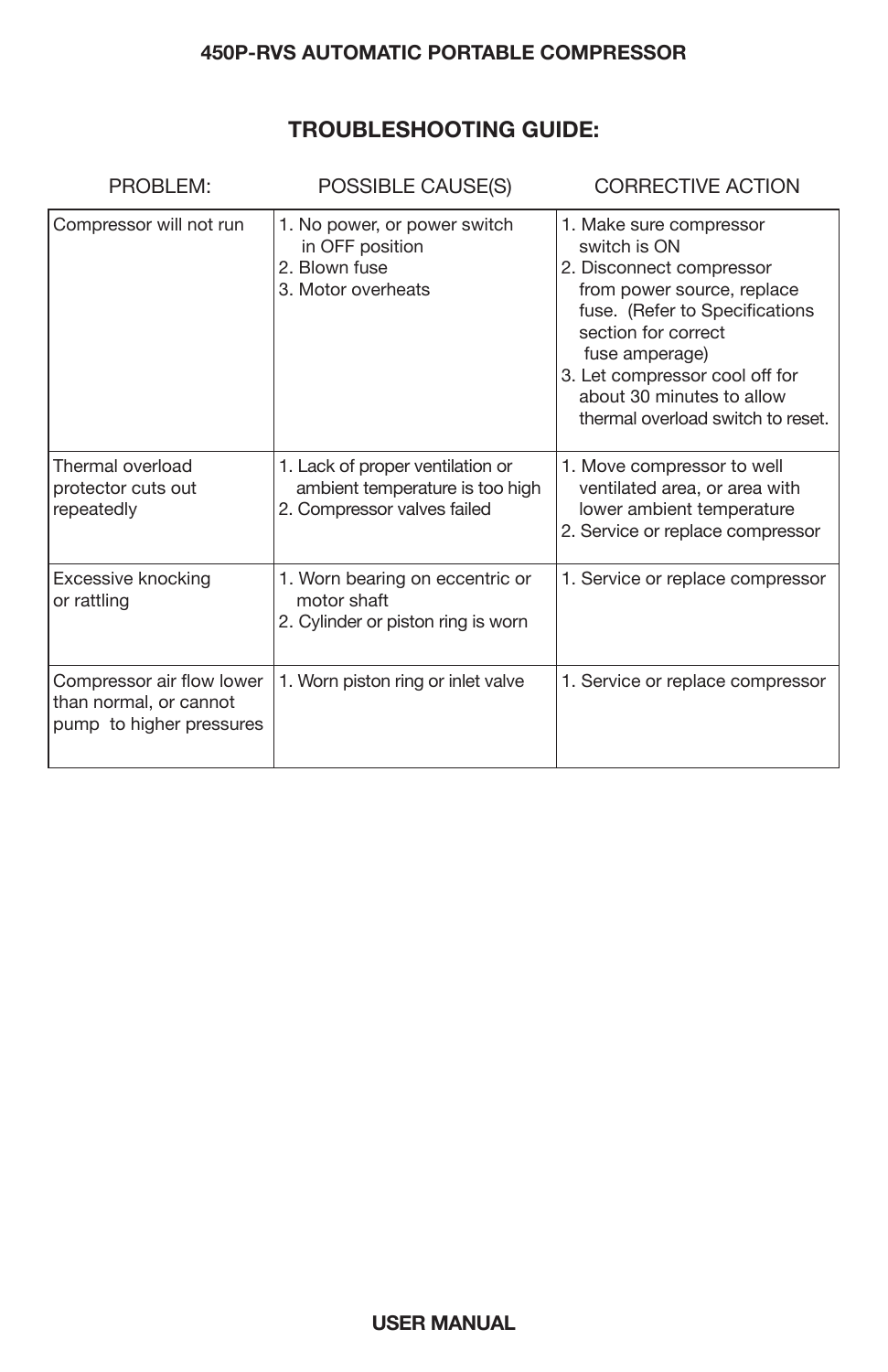# **TROUBLESHOOTING GUIDE:**

| PROBLEM:                                                                        | POSSIBLE CAUSE(S)                                                                                  | <b>CORRECTIVE ACTION</b>                                                                                                                                                                                                                                                         |
|---------------------------------------------------------------------------------|----------------------------------------------------------------------------------------------------|----------------------------------------------------------------------------------------------------------------------------------------------------------------------------------------------------------------------------------------------------------------------------------|
| Compressor will not run                                                         | 1. No power, or power switch<br>in OFF position<br>2. Blown fuse<br>3. Motor overheats             | 1. Make sure compressor<br>switch is ON<br>2. Disconnect compressor<br>from power source, replace<br>fuse. (Refer to Specifications<br>section for correct<br>fuse amperage)<br>3. Let compressor cool off for<br>about 30 minutes to allow<br>thermal overload switch to reset. |
| Thermal overload<br>protector cuts out<br>repeatedly                            | 1. Lack of proper ventilation or<br>ambient temperature is too high<br>2. Compressor valves failed | 1. Move compressor to well<br>ventilated area, or area with<br>lower ambient temperature<br>2. Service or replace compressor                                                                                                                                                     |
| Excessive knocking<br>or rattling                                               | 1. Worn bearing on eccentric or<br>motor shaft<br>2. Cylinder or piston ring is worn               | 1. Service or replace compressor                                                                                                                                                                                                                                                 |
| Compressor air flow lower<br>than normal, or cannot<br>pump to higher pressures | 1. Worn piston ring or inlet valve                                                                 | 1. Service or replace compressor                                                                                                                                                                                                                                                 |